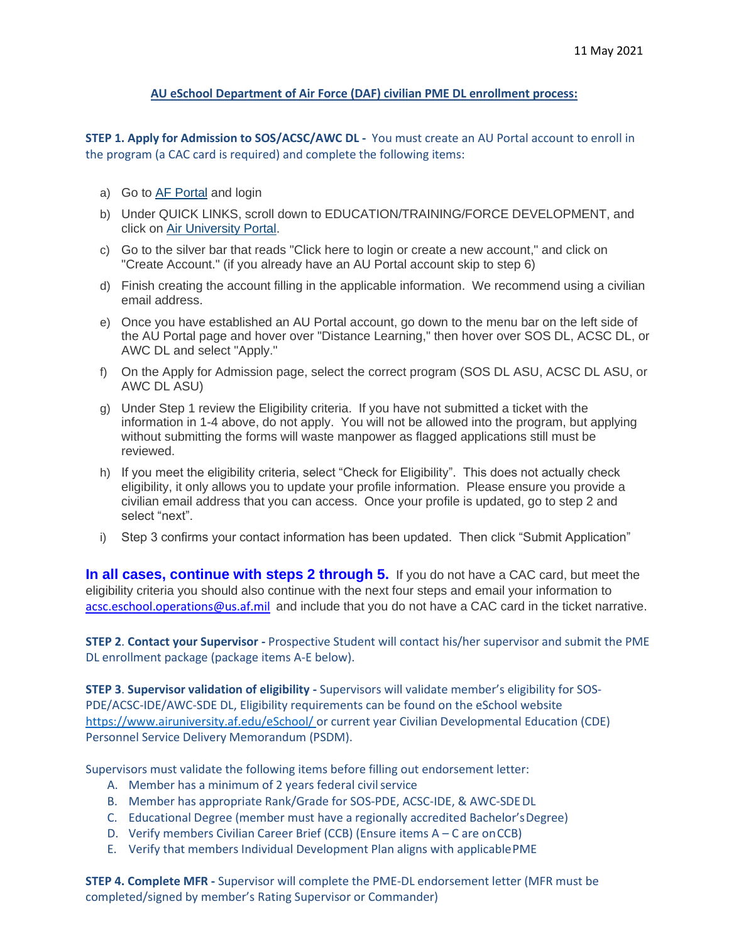### **AU eSchool Department of Air Force (DAF) civilian PME DL enrollment process:**

**STEP 1. Apply for Admission to SOS/ACSC/AWC DL - You must create an AU Portal account to enroll in** the program (a CAC card is required) and complete the following items:

- a) Go to AF [Portal](https://www.my.af.mil/) and login
- b) Under QUICK LINKS, scroll down to EDUCATION/TRAINING/FORCE DEVELOPMENT, and click on Air [University](https://auportal.maxwell.af.mil/auportal/welcome.AirUniversity) Portal.
- c) Go to the silver bar that reads "Click here to login or create a new account," and click on "Create Account." (if you already have an AU Portal account skip to step 6)
- d) Finish creating the account filling in the applicable information. We recommend using a civilian email address.
- e) Once you have established an AU Portal account, go down to the menu bar on the left side of the AU Portal page and hover over "Distance Learning," then hover over SOS DL, ACSC DL, or AWC DL and select "Apply."
- f) On the Apply for Admission page, select the correct program (SOS DL ASU, ACSC DL ASU, or AWC DL ASU)
- g) Under Step 1 review the Eligibility criteria. If you have not submitted a ticket with the information in 1-4 above, do not apply. You will not be allowed into the program, but applying without submitting the forms will waste manpower as flagged applications still must be reviewed.
- h) If you meet the eligibility criteria, select "Check for Eligibility". This does not actually check eligibility, it only allows you to update your profile information. Please ensure you provide a civilian email address that you can access. Once your profile is updated, go to step 2 and select "next".
- i) Step 3 confirms your contact information has been updated. Then click "Submit Application"

**In all cases, continue with steps 2 through 5.** If you do not have a CAC card, but meet the eligibility criteria you should also continue with the next four steps and email your information to [acsc.eschool.operations@us.af.mil](mailto:acsc.eschool.operations@us.af.mil) and include that you do not have a CAC card in the ticket narrative.

**STEP 2**. **Contact your Supervisor -** Prospective Student will contact his/her supervisor and submit the PME DL enrollment package (package items A-E below).

**STEP 3**. **Supervisor validation of eligibility -** Supervisors will validate member's eligibility for SOS-PDE/ACSC-IDE/AWC-SDE DL, Eligibility requirements can be found on the eSchool website <https://www.airuniversity.af.edu/eSchool/> or current year Civilian Developmental Education (CDE) Personnel Service Delivery Memorandum (PSDM).

Supervisors must validate the following items before filling out endorsement letter:

- A. Member has a minimum of 2 years federal civil service
- B. Member has appropriate Rank/Grade for SOS-PDE, ACSC-IDE, & AWC-SDEDL
- C. Educational Degree (member must have a regionally accredited Bachelor'sDegree)
- D. Verify members Civilian Career Brief (CCB) (Ensure items A C are onCCB)
- E. Verify that members Individual Development Plan aligns with applicablePME

**STEP 4. Complete MFR -** Supervisor will complete the PME-DL endorsement letter (MFR must be completed/signed by member's Rating Supervisor or Commander)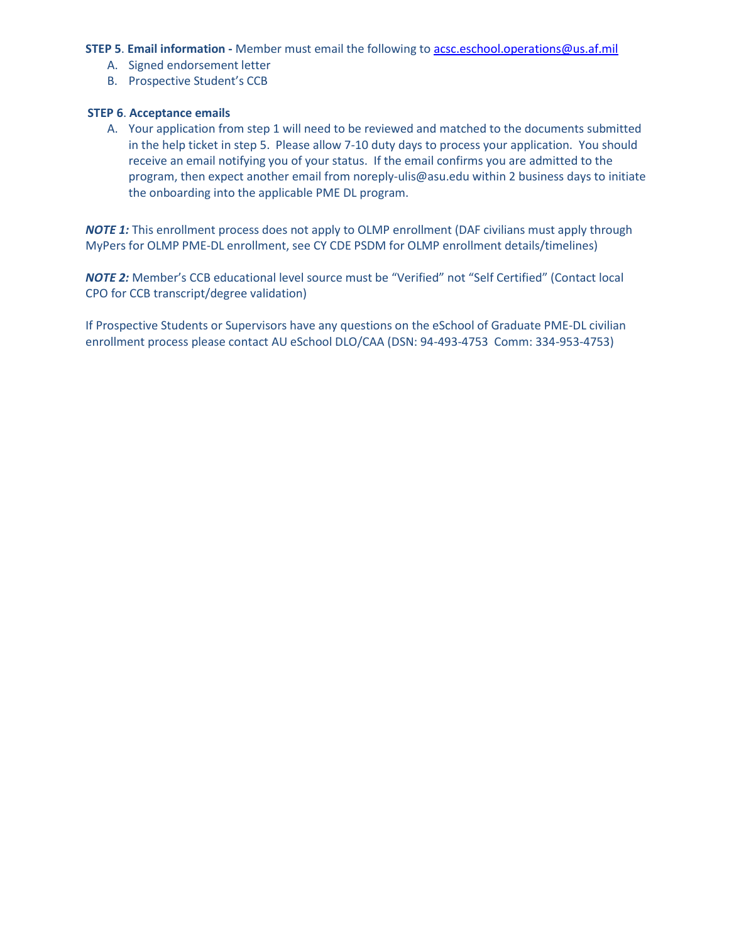## **STEP 5. Email information -** Member must email the following to [acsc.eschool.operations@us.af.mil](mailto:acsc.eschool.operations@us.af.mil)

- A. Signed endorsement letter
- B. Prospective Student's CCB

#### **STEP 6**. **Acceptance emails**

A. Your application from step 1 will need to be reviewed and matched to the documents submitted in the help ticket in step 5. Please allow 7-10 duty days to process your application. You should receive an email notifying you of your status. If the email confirms you are admitted to the program, then expect another email fro[m noreply-ulis@asu.edu](mailto:noreply-ulis@asu.edu) within 2 business days to initiate the onboarding into the applicable PME DL program.

*NOTE 1:* This enrollment process does not apply to OLMP enrollment (DAF civilians must apply through MyPers for OLMP PME-DL enrollment, see CY CDE PSDM for OLMP enrollment details/timelines)

*NOTE 2:* Member's CCB educational level source must be "Verified" not "Self Certified" (Contact local CPO for CCB transcript/degree validation)

If Prospective Students or Supervisors have any questions on the eSchool of Graduate PME-DL civilian enrollment process please contact AU eSchool DLO/CAA (DSN: 94-493-4753 Comm: 334-953-4753)